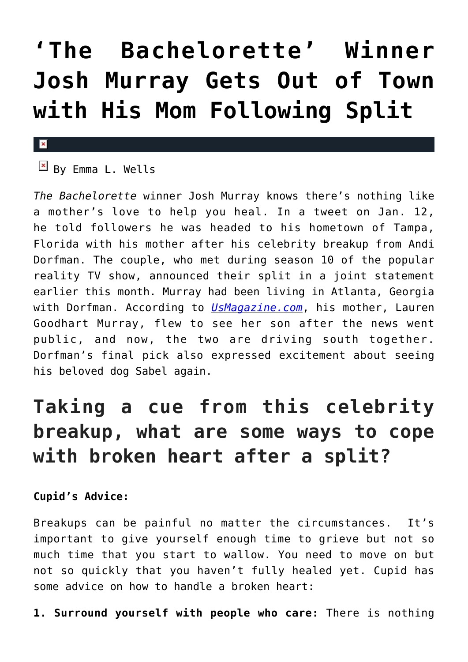## **['The Bachelorette' Winner](https://cupidspulse.com/85050/the-bachelorette-winner-josh-murray-celebrity-breakup/) [Josh Murray Gets Out of Town](https://cupidspulse.com/85050/the-bachelorette-winner-josh-murray-celebrity-breakup/) [with His Mom Following Split](https://cupidspulse.com/85050/the-bachelorette-winner-josh-murray-celebrity-breakup/)**

## $\mathbf{x}$

 $\boxed{\times}$  By Emma L. Wells

*The Bachelorette* winner Josh Murray knows there's nothing like a mother's love to help you heal. In a tweet on Jan. 12, he told followers he was headed to his hometown of Tampa, Florida with his mother after his celebrity breakup from Andi Dorfman. The couple, who met during season 10 of the popular reality TV show, announced their split in a joint statement earlier this month. Murray had been living in Atlanta, Georgia with Dorfman. According to *[UsMagazine.com](http://www.usmagazine.com/celebrity-news/news/josh-murray-takes-trip-with-mom-after-andi-dorfman-split-2015121)*, his mother, Lauren Goodhart Murray, flew to see her son after the news went public, and now, the two are driving south together. Dorfman's final pick also expressed excitement about seeing his beloved dog Sabel again.

## **Taking a cue from this celebrity breakup, what are some ways to cope with broken heart after a split?**

## **Cupid's Advice:**

Breakups can be painful no matter the circumstances. It's important to give yourself enough time to grieve but not so much time that you start to wallow. You need to move on but not so quickly that you haven't fully healed yet. Cupid has some advice on how to handle a broken heart:

**1. Surround yourself with people who care:** There is nothing